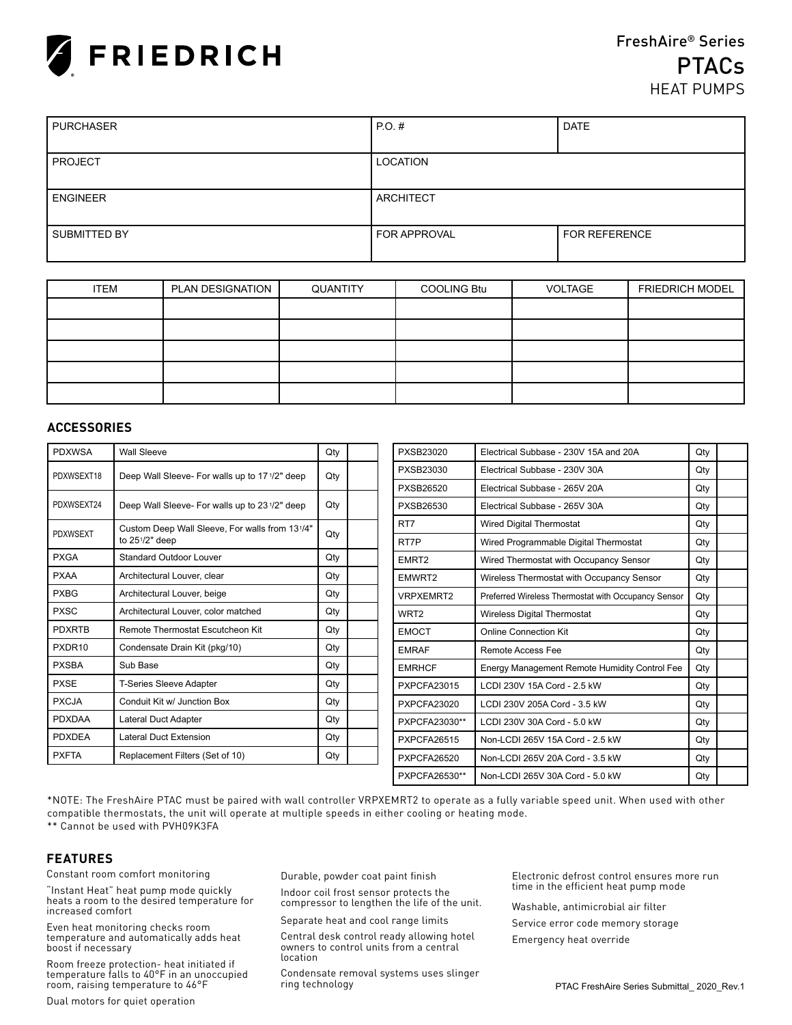

| <b>PURCHASER</b> | PO.H             | <b>DATE</b>          |
|------------------|------------------|----------------------|
|                  |                  |                      |
| <b>PROJECT</b>   | LOCATION         |                      |
|                  |                  |                      |
| <b>ENGINEER</b>  | <b>ARCHITECT</b> |                      |
|                  |                  |                      |
| SUBMITTED BY     | FOR APPROVAL     | <b>FOR REFERENCE</b> |
|                  |                  |                      |

| <b>ITEM</b> | PLAN DESIGNATION | QUANTITY | <b>COOLING Btu</b> | VOLTAGE | <b>FRIEDRICH MODEL</b> |
|-------------|------------------|----------|--------------------|---------|------------------------|
|             |                  |          |                    |         |                        |
|             |                  |          |                    |         |                        |
|             |                  |          |                    |         |                        |
|             |                  |          |                    |         |                        |
|             |                  |          |                    |         |                        |

#### **ACCESSORIES**

| <b>PDXWSA</b>   | <b>Wall Sleeve</b>                             | Qty |  | <b>PXSB23020</b>   | Electrical Subbase - 230V 15A and 20A               | Qty |  |
|-----------------|------------------------------------------------|-----|--|--------------------|-----------------------------------------------------|-----|--|
| PDXWSEXT18      | Deep Wall Sleeve- For walls up to 171/2" deep  | Qty |  | PXSB23030          | Electrical Subbase - 230V 30A                       | Qty |  |
|                 |                                                |     |  | PXSB26520          | Electrical Subbase - 265V 20A                       | Qty |  |
| PDXWSEXT24      | Deep Wall Sleeve- For walls up to 231/2" deep  | Qty |  | PXSB26530          | Electrical Subbase - 265V 30A                       | Qty |  |
|                 | Custom Deep Wall Sleeve, For walls from 131/4" |     |  | RT7                | Wired Digital Thermostat                            | Qty |  |
| <b>PDXWSEXT</b> | to $25\frac{1}{2}$ " deep                      | Qty |  | RT7P               | Wired Programmable Digital Thermostat               | Qty |  |
| <b>PXGA</b>     | Standard Outdoor Louver                        | Qty |  | EMRT <sub>2</sub>  | Wired Thermostat with Occupancy Sensor              | Qty |  |
| <b>PXAA</b>     | Architectural Louver, clear                    | Qty |  | EMWRT2             | Wireless Thermostat with Occupancy Sensor           | Qty |  |
| <b>PXBG</b>     | Architectural Louver, beige                    | Qty |  | <b>VRPXEMRT2</b>   | Preferred Wireless Thermostat with Occupancy Sensor | Qty |  |
| <b>PXSC</b>     | Architectural Louver, color matched            | Qty |  | WRT <sub>2</sub>   | <b>Wireless Digital Thermostat</b>                  | Qty |  |
| <b>PDXRTB</b>   | Remote Thermostat Escutcheon Kit               | Qty |  | <b>EMOCT</b>       | <b>Online Connection Kit</b>                        | Qty |  |
| PXDR10          | Condensate Drain Kit (pkg/10)                  | Qty |  | <b>EMRAF</b>       | Remote Access Fee                                   | Qty |  |
| <b>PXSBA</b>    | Sub Base                                       | Qty |  | <b>EMRHCF</b>      | Energy Management Remote Humidity Control Fee       | Qty |  |
| <b>PXSE</b>     | T-Series Sleeve Adapter                        | Qty |  | <b>PXPCFA23015</b> | LCDI 230V 15A Cord - 2.5 kW                         | Qty |  |
| <b>PXCJA</b>    | Conduit Kit w/ Junction Box                    | Qty |  | PXPCFA23020        | LCDI 230V 205A Cord - 3.5 kW                        | Qty |  |
| <b>PDXDAA</b>   | <b>Lateral Duct Adapter</b>                    | Qty |  | PXPCFA23030**      | LCDI 230V 30A Cord - 5.0 kW                         | Qty |  |
| <b>PDXDEA</b>   | <b>Lateral Duct Extension</b>                  | Qty |  | PXPCFA26515        | Non-LCDI 265V 15A Cord - 2.5 kW                     | Qty |  |
| <b>PXFTA</b>    | Replacement Filters (Set of 10)                | Qty |  | PXPCFA26520        | Non-LCDI 265V 20A Cord - 3.5 kW                     | Qty |  |
|                 |                                                |     |  | PXPCFA26530**      | Non-LCDI 265V 30A Cord - 5.0 kW                     | Qty |  |

\*NOTE: The FreshAire PTAC must be paired with wall controller VRPXEMRT2 to operate as a fully variable speed unit. When used with other compatible thermostats, the unit will operate at multiple speeds in either cooling or heating mode. \*\* Cannot be used with PVH09K3FA

## **FEATURES**

Constant room comfort monitoring

"Instant Heat" heat pump mode quickly heats a room to the desired temperature for increased comfort

Even heat monitoring checks room temperature and automatically adds heat boost if necessary

Room freeze protection- heat initiated if temperature falls to 40°F in an unoccupied room, raising temperature to 46°F

Dual motors for quiet operation

Durable, powder coat paint finish

Indoor coil frost sensor protects the compressor to lengthen the life of the unit.

Separate heat and cool range limits

Central desk control ready allowing hotel owners to control units from a central location

Condensate removal systems uses slinger ring technology

Electronic defrost control ensures more run time in the efficient heat pump mode

Washable, antimicrobial air filter

Service error code memory storage

Emergency heat override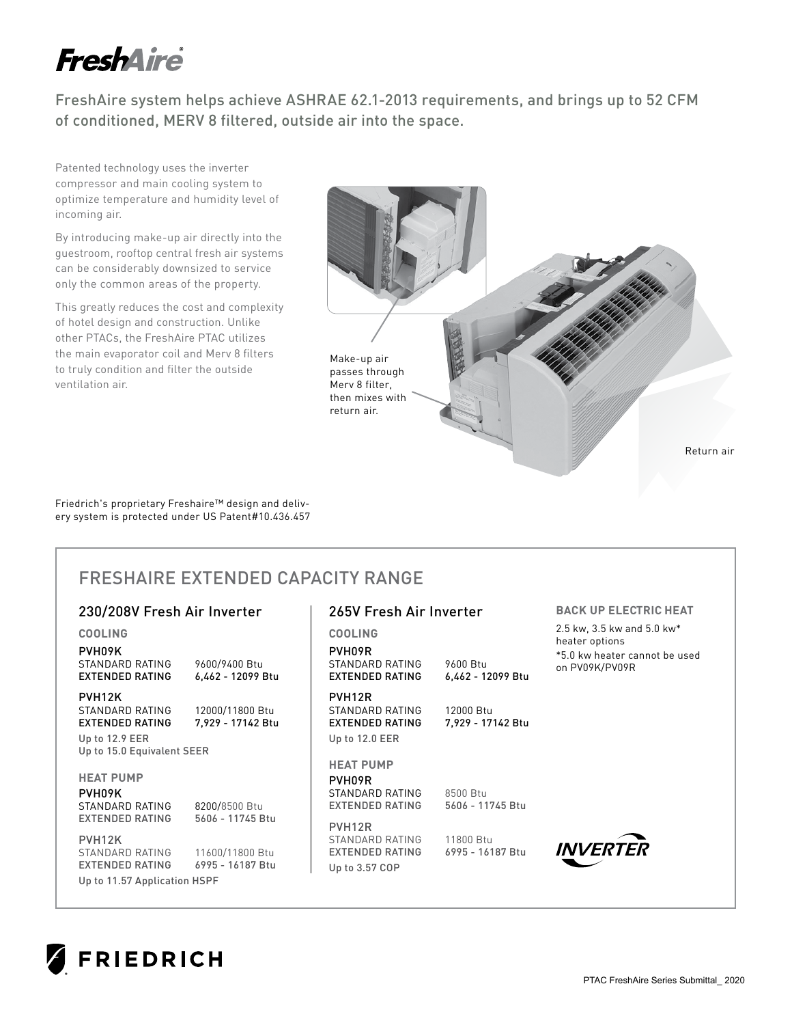# **FreshAire**

FreshAire system helps achieve ASHRAE 62.1-2013 requirements, and brings up to 52 CFM of conditioned, MERV 8 filtered, outside air into the space.

Patented technology uses the inverter compressor and main cooling system to optimize temperature and humidity level of incoming air.

By introducing make-up air directly into the guestroom, rooftop central fresh air systems can be considerably downsized to service only the common areas of the property.

This greatly reduces the cost and complexity of hotel design and construction. Unlike other PTACs, the FreshAire PTAC utilizes the main evaporator coil and Merv 8 filters to truly condition and filter the outside ventilation air.



Friedrich's proprietary Freshaire™ design and delivery system is protected under US Patent#10.436.457

# FRESHAIRE EXTENDED CAPACITY RANGE

# 230/208V Fresh Air Inverter

**COOLING** PVH09K STANDARD RATING 9600/9400 Btu<br>EXTENDED RATING 6,462 - 12099 Btu EXTENDED RATING PVH12K STANDARD RATING 12000/11800 Btu<br>EXTENDED RATING 7,929 - 17142 Btu EXTENDED RATING Up to 12.9 EER Up to 15.0 Equivalent SEER **HEAT PUMP** PVH09K STANDARD RATING 8200/8500 Btu EXTENDED RATING 5606 - 11745 Btu PVH12K STANDARD RATING 11600/11800 Btu EXTENDED RATING 6995 - 16187 Btu **COOLING** PVH09R STANDARD RATING 9600 Btu<br>EXTENDED RATING 6,462 - 12099 Btu EXTENDED RATING PVH12R STANDARD RATING 12000 Btu EXTENDED RATING 7,929 - 17142 Btu Up to 12.0 EER **HEAT PUMP** PVH09R STANDARD RATING 8500 Btu EXTENDED RATING 5606 - 11745 Btu PVH12R STANDARD RATING 11800 Btu EXTENDED RATING 6995 - 16187 Btu Up to 3.57 COP

# 265V Fresh Air Inverter

## **BACK UP ELECTRIC HEAT**

2.5 kw, 3.5 kw and 5.0 kw\* heater options \*5.0 kw heater cannot be used on PV09K/PV09R

**NVERTER** 



Up to 11.57 Application HSPF